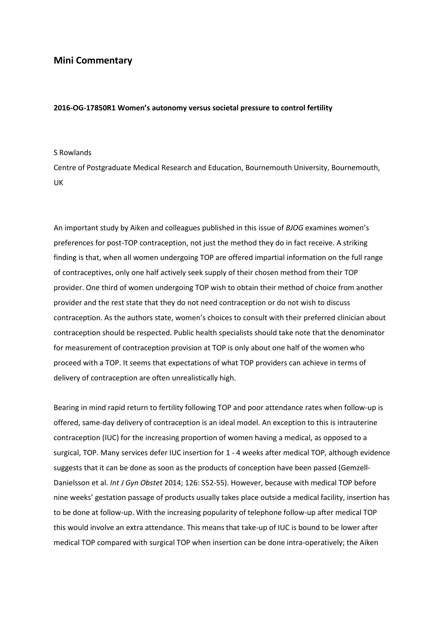## **Mini Commentary**

## **2016-OG-17850R1 Women's autonomy versus societal pressure to control fertility**

## S Rowlands

Centre of Postgraduate Medical Research and Education, Bournemouth University, Bournemouth, UK

An important study by Aiken and colleagues published in this issue of *BJOG* examines women's preferences for post-TOP contraception, not just the method they do in fact receive. A striking finding is that, when all women undergoing TOP are offered impartial information on the full range of contraceptives, only one half actively seek supply of their chosen method from their TOP provider. One third of women undergoing TOP wish to obtain their method of choice from another provider and the rest state that they do not need contraception or do not wish to discuss contraception. As the authors state, women's choices to consult with their preferred clinician about contraception should be respected. Public health specialists should take note that the denominator for measurement of contraception provision at TOP is only about one half of the women who proceed with a TOP. It seems that expectations of what TOP providers can achieve in terms of delivery of contraception are often unrealistically high.

Bearing in mind rapid return to fertility following TOP and poor attendance rates when follow-up is offered, same-day delivery of contraception is an ideal model. An exception to this is intrauterine contraception (IUC) for the increasing proportion of women having a medical, as opposed to a surgical, TOP. Many services defer IUC insertion for 1 - 4 weeks after medical TOP, although evidence suggests that it can be done as soon as the products of conception have been passed (Gemzell-Danielsson et al. *Int J Gyn Obstet* 2014; 126: S52-55). However, because with medical TOP before nine weeks' gestation passage of products usually takes place outside a medical facility, insertion has to be done at follow-up. With the increasing popularity of telephone follow-up after medical TOP this would involve an extra attendance. This means that take-up of IUC is bound to be lower after medical TOP compared with surgical TOP when insertion can be done intra-operatively; the Aiken